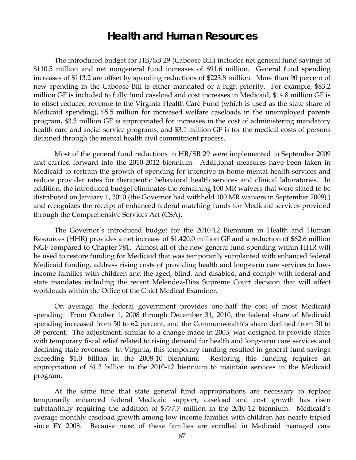# **Health and Human Resources**

The introduced budget for HB/SB 29 (Caboose Bill) includes net general fund savings of \$110.5 million and net nongeneral fund increases of \$91.6 million. General fund spending increases of \$113.2 are offset by spending reductions of \$223.8 million. More than 90 percent of new spending in the Caboose Bill is either mandated or a high priority. For example, \$83.2 million GF is included to fully fund caseload and cost increases in Medicaid, \$14.8 million GF is to offset reduced revenue to the Virginia Health Care Fund (which is used as the state share of Medicaid spending), \$5.5 million for increased welfare caseloads in the unemployed parents program, \$3.3 million GF is appropriated for increases in the cost of administering mandatory health care and social service programs, and \$3.1 million GF is for the medical costs of persons detained through the mental health civil commitment process.

Most of the general fund reductions in HB/SB 29 were implemented in September 2009 and carried forward into the 2010-2012 biennium. Additional measures have been taken in Medicaid to restrain the growth of spending for intensive in-home mental health services and reduce provider rates for therapeutic behavioral health services and clinical laboratories. In addition, the introduced budget eliminates the remaining 100 MR waivers that were slated to be distributed on January 1, 2010 (the Governor had withheld 100 MR waivers in September 2009).) and recognizes the receipt of enhanced federal matching funds for Medicaid services provided through the Comprehensive Services Act (CSA).

The Governor's introduced budget for the 2010-12 Biennium in Health and Human Resources (HHR) provides a net increase of \$1,420.0 million GF and a reduction of \$62.6 million NGF compared to Chapter 781. Almost all of the new general fund spending within HHR will be used to restore funding for Medicaid that was temporarily supplanted with enhanced federal Medicaid funding, address rising costs of providing health and long-term care services to lowincome families with children and the aged, blind, and disabled, and comply with federal and state mandates including the recent Melendez-Dias Supreme Court decision that will affect workloads within the Office of the Chief Medical Examiner.

On average, the federal government provides one-half the cost of most Medicaid spending. From October 1, 2008 through December 31, 2010, the federal share of Medicaid spending increased from 50 to 62 percent, and the Commonwealth's share declined from 50 to 38 percent. The adjustment, similar to a change made in 2003, was designed to provide states with temporary fiscal relief related to rising demand for health and long-term care services and declining state revenues. In Virginia, this temporary funding resulted in general fund savings exceeding \$1.0 billion in the 2008-10 biennium. Restoring this funding requires an appropriation of \$1.2 billion in the 2010-12 biennium to maintain services in the Medicaid program.

At the same time that state general fund appropriations are necessary to replace temporarily enhanced federal Medicaid support, caseload and cost growth has risen substantially requiring the addition of \$777.7 million in the 2010-12 biennium. Medicaid's average monthly caseload growth among low-income families with children has nearly tripled since FY 2008. Because most of these families are enrolled in Medicaid managed care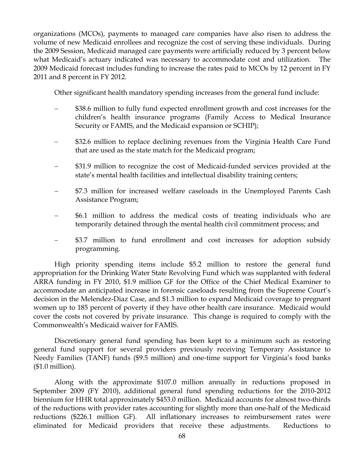organizations (MCOs), payments to managed care companies have also risen to address the volume of new Medicaid enrollees and recognize the cost of serving these individuals. During the 2009 Session, Medicaid managed care payments were artificially reduced by 3 percent below what Medicaid's actuary indicated was necessary to accommodate cost and utilization. The 2009 Medicaid forecast includes funding to increase the rates paid to MCOs by 12 percent in FY 2011 and 8 percent in FY 2012.

Other significant health mandatory spending increases from the general fund include:

- − \$38.6 million to fully fund expected enrollment growth and cost increases for the children's health insurance programs (Family Access to Medical Insurance Security or FAMIS, and the Medicaid expansion or SCHIP);
- − \$32.6 million to replace declining revenues from the Virginia Health Care Fund that are used as the state match for the Medicaid program;
- − \$31.9 million to recognize the cost of Medicaid-funded services provided at the state's mental health facilities and intellectual disability training centers;
- \$7.3 million for increased welfare caseloads in the Unemployed Parents Cash Assistance Program;
- − \$6.1 million to address the medical costs of treating individuals who are temporarily detained through the mental health civil commitment process; and
- − \$3.7 million to fund enrollment and cost increases for adoption subsidy programming.

High priority spending items include \$5.2 million to restore the general fund appropriation for the Drinking Water State Revolving Fund which was supplanted with federal ARRA funding in FY 2010, \$1.9 million GF for the Office of the Chief Medical Examiner to accommodate an anticipated increase in forensic caseloads resulting from the Supreme Court's decision in the Melendez-Diaz Case, and \$1.3 million to expand Medicaid coverage to pregnant women up to 185 percent of poverty if they have other health care insurance. Medicaid would cover the costs not covered by private insurance. This change is required to comply with the Commonwealth's Medicaid waiver for FAMIS.

Discretionary general fund spending has been kept to a minimum such as restoring general fund support for several providers previously receiving Temporary Assistance to Needy Families (TANF) funds (\$9.5 million) and one-time support for Virginia's food banks (\$1.0 million).

Along with the approximate \$107.0 million annually in reductions proposed in September 2009 (FY 2010), additional general fund spending reductions for the 2010-2012 biennium for HHR total approximately \$453.0 million. Medicaid accounts for almost two-thirds of the reductions with provider rates accounting for slightly more than one-half of the Medicaid reductions (\$226.1 million GF). All inflationary increases to reimbursement rates were eliminated for Medicaid providers that receive these adjustments. Reductions to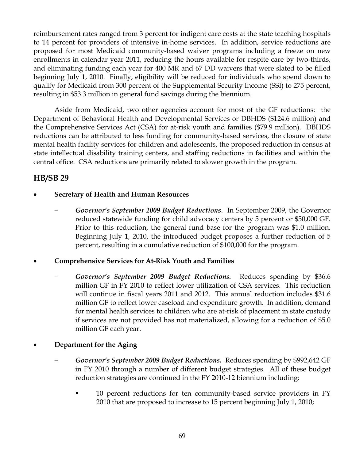reimbursement rates ranged from 3 percent for indigent care costs at the state teaching hospitals to 14 percent for providers of intensive in-home services. In addition, service reductions are proposed for most Medicaid community-based waiver programs including a freeze on new enrollments in calendar year 2011, reducing the hours available for respite care by two-thirds, and eliminating funding each year for 400 MR and 67 DD waivers that were slated to be filled beginning July 1, 2010. Finally, eligibility will be reduced for individuals who spend down to qualify for Medicaid from 300 percent of the Supplemental Security Income (SSI) to 275 percent, resulting in \$53.3 million in general fund savings during the biennium.

Aside from Medicaid, two other agencies account for most of the GF reductions: the Department of Behavioral Health and Developmental Services or DBHDS (\$124.6 million) and the Comprehensive Services Act (CSA) for at-risk youth and families (\$79.9 million). DBHDS reductions can be attributed to less funding for community-based services, the closure of state mental health facility services for children and adolescents, the proposed reduction in census at state intellectual disability training centers, and staffing reductions in facilities and within the central office. CSA reductions are primarily related to slower growth in the program.

# **HB/SB 29**

- **Secretary of Health and Human Resources** 
	- − *Governor's September 2009 Budget Reductions*. In September 2009, the Governor reduced statewide funding for child advocacy centers by 5 percent or \$50,000 GF. Prior to this reduction, the general fund base for the program was \$1.0 million. Beginning July 1, 2010, the introduced budget proposes a further reduction of 5 percent, resulting in a cumulative reduction of \$100,000 for the program.

## • **Comprehensive Services for At-Risk Youth and Families**

− *Governor's September 2009 Budget Reductions.* Reduces spending by \$36.6 million GF in FY 2010 to reflect lower utilization of CSA services. This reduction will continue in fiscal years 2011 and 2012. This annual reduction includes \$31.6 million GF to reflect lower caseload and expenditure growth. In addition, demand for mental health services to children who are at-risk of placement in state custody if services are not provided has not materialized, allowing for a reduction of \$5.0 million GF each year.

## • **Department for the Aging**

- − *Governor's September 2009 Budget Reductions.* Reduces spending by \$992,642 GF in FY 2010 through a number of different budget strategies. All of these budget reduction strategies are continued in the FY 2010-12 biennium including:
	- 10 percent reductions for ten community-based service providers in FY 2010 that are proposed to increase to 15 percent beginning July 1, 2010;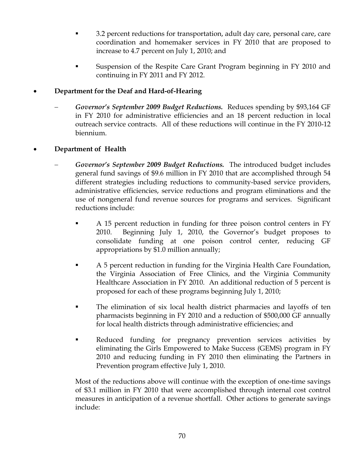- 3.2 percent reductions for transportation, adult day care, personal care, care coordination and homemaker services in FY 2010 that are proposed to increase to 4.7 percent on July 1, 2010; and
- Suspension of the Respite Care Grant Program beginning in FY 2010 and continuing in FY 2011 and FY 2012.

## • **Department for the Deaf and Hard-of-Hearing**

− *Governor's September 2009 Budget Reductions.* Reduces spending by \$93,164 GF in FY 2010 for administrative efficiencies and an 18 percent reduction in local outreach service contracts. All of these reductions will continue in the FY 2010-12 biennium.

## • **Department of Health**

- − *Governor's September 2009 Budget Reductions.* The introduced budget includes general fund savings of \$9.6 million in FY 2010 that are accomplished through 54 different strategies including reductions to community-based service providers, administrative efficiencies, service reductions and program eliminations and the use of nongeneral fund revenue sources for programs and services. Significant reductions include:
	- A 15 percent reduction in funding for three poison control centers in FY 2010. Beginning July 1, 2010, the Governor's budget proposes to consolidate funding at one poison control center, reducing GF appropriations by \$1.0 million annually;
	- A 5 percent reduction in funding for the Virginia Health Care Foundation, the Virginia Association of Free Clinics, and the Virginia Community Healthcare Association in FY 2010. An additional reduction of 5 percent is proposed for each of these programs beginning July 1, 2010;
	- The elimination of six local health district pharmacies and layoffs of ten pharmacists beginning in FY 2010 and a reduction of \$500,000 GF annually for local health districts through administrative efficiencies; and
	- Reduced funding for pregnancy prevention services activities by eliminating the Girls Empowered to Make Success (GEMS) program in FY 2010 and reducing funding in FY 2010 then eliminating the Partners in Prevention program effective July 1, 2010.

Most of the reductions above will continue with the exception of one-time savings of \$3.1 million in FY 2010 that were accomplished through internal cost control measures in anticipation of a revenue shortfall. Other actions to generate savings include: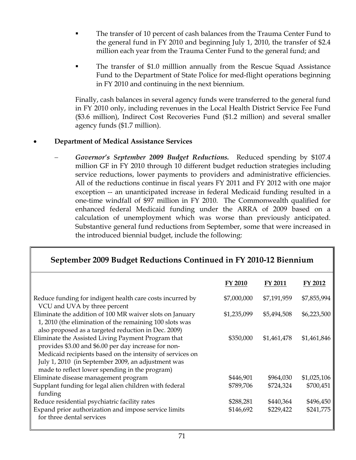- The transfer of 10 percent of cash balances from the Trauma Center Fund to the general fund in FY 2010 and beginning July 1, 2010, the transfer of \$2.4 million each year from the Trauma Center Fund to the general fund; and
- The transfer of \$1.0 milllion annually from the Rescue Squad Assistance Fund to the Department of State Police for med-flight operations beginning in FY 2010 and continuing in the next biennium.

Finally, cash balances in several agency funds were transferred to the general fund in FY 2010 only, including revenues in the Local Health District Service Fee Fund (\$3.6 million), Indirect Cost Recoveries Fund (\$1.2 million) and several smaller agency funds (\$1.7 million).

## • **Department of Medical Assistance Services**

− *Governor's September 2009 Budget Reductions.* Reduced spending by \$107.4 million GF in FY 2010 through 10 different budget reduction strategies including service reductions, lower payments to providers and administrative efficiencies. All of the reductions continue in fiscal years FY 2011 and FY 2012 with one major exception -- an unanticipated increase in federal Medicaid funding resulted in a one-time windfall of \$97 million in FY 2010. The Commonwealth qualified for enhanced federal Medicaid funding under the ARRA of 2009 based on a calculation of unemployment which was worse than previously anticipated. Substantive general fund reductions from September, some that were increased in the introduced biennial budget, include the following:

| September 2009 Budget Reductions Continued in FY 2010-12 Biennium                                                                                                                                                                                                               |             |                |             |  |  |
|---------------------------------------------------------------------------------------------------------------------------------------------------------------------------------------------------------------------------------------------------------------------------------|-------------|----------------|-------------|--|--|
|                                                                                                                                                                                                                                                                                 | FY 2010     | <b>FY 2011</b> | FY 2012     |  |  |
| Reduce funding for indigent health care costs incurred by<br>VCU and UVA by three percent                                                                                                                                                                                       | \$7,000,000 | \$7,191,959    | \$7,855,994 |  |  |
| Eliminate the addition of 100 MR waiver slots on January<br>1, 2010 (the elimination of the remaining 100 slots was<br>also proposed as a targeted reduction in Dec. 2009)                                                                                                      | \$1,235,099 | \$5,494,508    | \$6,223,500 |  |  |
| Eliminate the Assisted Living Payment Program that<br>provides \$3.00 and \$6.00 per day increase for non-<br>Medicaid recipients based on the intensity of services on<br>July 1, 2010 (in September 2009, an adjustment was<br>made to reflect lower spending in the program) | \$350,000   | \$1,461,478    | \$1,461,846 |  |  |
| Eliminate disease management program                                                                                                                                                                                                                                            | \$446,901   | \$964,030      | \$1,025,106 |  |  |
| Supplant funding for legal alien children with federal<br>funding                                                                                                                                                                                                               | \$789,706   | \$724,324      | \$700,451   |  |  |
| Reduce residential psychiatric facility rates                                                                                                                                                                                                                                   | \$288,281   | \$440,364      | \$496,450   |  |  |
| Expand prior authorization and impose service limits<br>for three dental services                                                                                                                                                                                               | \$146,692   | \$229,422      | \$241,775   |  |  |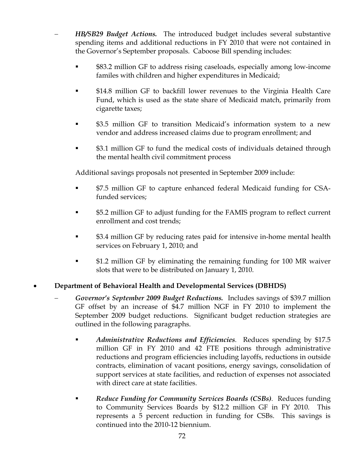- − *HB/SB29 Budget Actions.* The introduced budget includes several substantive spending items and additional reductions in FY 2010 that were not contained in the Governor's September proposals. Caboose Bill spending includes:
	- \$83.2 million GF to address rising caseloads, especially among low-income familes with children and higher expenditures in Medicaid;
	- \$14.8 million GF to backfill lower revenues to the Virginia Health Care Fund, which is used as the state share of Medicaid match, primarily from cigarette taxes;
	- \$3.5 million GF to transition Medicaid's information system to a new vendor and address increased claims due to program enrollment; and
	- \$3.1 million GF to fund the medical costs of individuals detained through the mental health civil commitment process

Additional savings proposals not presented in September 2009 include:

- \$7.5 million GF to capture enhanced federal Medicaid funding for CSAfunded services;
- \$5.2 million GF to adjust funding for the FAMIS program to reflect current enrollment and cost trends;
- \$3.4 million GF by reducing rates paid for intensive in-home mental health services on February 1, 2010; and
- \$1.2 million GF by eliminating the remaining funding for 100 MR waiver slots that were to be distributed on January 1, 2010.

# • **Department of Behavioral Health and Developmental Services (DBHDS)**

- − *Governor's September 2009 Budget Reductions.* Includes savings of \$39.7 million GF offset by an increase of \$4.7 million NGF in FY 2010 to implement the September 2009 budget reductions. Significant budget reduction strategies are outlined in the following paragraphs.
	- *Administrative Reductions and Efficiencies.* Reduces spending by \$17.5 million GF in FY 2010 and 42 FTE positions through administrative reductions and program efficiencies including layoffs, reductions in outside contracts, elimination of vacant positions, energy savings, consolidation of support services at state facilities, and reduction of expenses not associated with direct care at state facilities.
	- *Reduce Funding for Community Services Boards (CSBs).* Reduces funding to Community Services Boards by \$12.2 million GF in FY 2010. This represents a 5 percent reduction in funding for CSBs. This savings is continued into the 2010-12 biennium.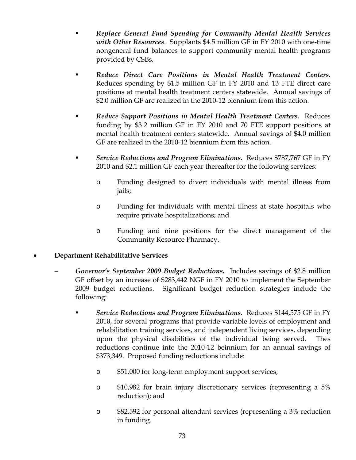- *Replace General Fund Spending for Community Mental Health Services with Other Resources.* Supplants \$4.5 million GF in FY 2010 with one-time nongeneral fund balances to support community mental health programs provided by CSBs.
- *Reduce Direct Care Positions in Mental Health Treatment Centers.* Reduces spending by \$1.5 million GF in FY 2010 and 13 FTE direct care positions at mental health treatment centers statewide. Annual savings of \$2.0 million GF are realized in the 2010-12 biennium from this action.
- *Reduce Support Positions in Mental Health Treatment Centers.* Reduces funding by \$3.2 million GF in FY 2010 and 70 FTE support positions at mental health treatment centers statewide. Annual savings of \$4.0 million GF are realized in the 2010-12 biennium from this action.
- *Service Reductions and Program Eliminations.* Reduces \$787,767 GF in FY 2010 and \$2.1 million GF each year thereafter for the following services:
	- o Funding designed to divert individuals with mental illness from jails;
	- o Funding for individuals with mental illness at state hospitals who require private hospitalizations; and
	- o Funding and nine positions for the direct management of the Community Resource Pharmacy.

## • **Department Rehabilitative Services**

- − *Governor's September 2009 Budget Reductions.* Includes savings of \$2.8 million GF offset by an increase of \$283,442 NGF in FY 2010 to implement the September 2009 budget reductions. Significant budget reduction strategies include the following:
	- *Service Reductions and Program Eliminations.* Reduces \$144,575 GF in FY 2010, for several programs that provide variable levels of employment and rehabilitation training services, and independent living services, depending upon the physical disabilities of the individual being served. Thes reductions continue into the 2010-12 beinnium for an annual savings of \$373,349. Proposed funding reductions include:
		- o \$51,000 for long-term employment support services;
		- o \$10,982 for brain injury discretionary services (representing a 5% reduction); and
		- o \$82,592 for personal attendant services (representing a 3% reduction in funding.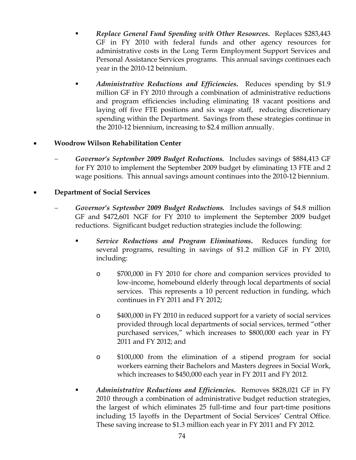- *Replace General Fund Spending with Other Resources***.** Replaces \$283,443 GF in FY 2010 with federal funds and other agency resources for administrative costs in the Long Term Employment Support Services and Personal Assistance Services programs. This annual savings continues each year in the 2010-12 beinnium.
- *Administrative Reductions and Efficiencies***.** Reduces spending by \$1.9 million GF in FY 2010 through a combination of administrative reductions and program efficiencies including eliminating 18 vacant positions and laying off five FTE positions and six wage staff, reducing discretionary spending within the Department. Savings from these strategies continue in the 2010-12 biennium, increasing to \$2.4 million annually.

## • **Woodrow Wilson Rehabilitation Center**

− *Governor's September 2009 Budget Reductions.* Includes savings of \$884,413 GF for FY 2010 to implement the September 2009 budget by eliminating 13 FTE and 2 wage positions. This annual savings amount continues into the 2010-12 biennium.

## • **Department of Social Services**

- − *Governor's September 2009 Budget Reductions.* Includes savings of \$4.8 million GF and \$472,601 NGF for FY 2010 to implement the September 2009 budget reductions. Significant budget reduction strategies include the following:
	- *Service Reductions and Program Eliminations***.** Reduces funding for several programs, resulting in savings of \$1.2 million GF in FY 2010, including:
		- o \$700,000 in FY 2010 for chore and companion services provided to low-income, homebound elderly through local departments of social services. This represents a 10 percent reduction in funding, which continues in FY 2011 and FY 2012;
		- o \$400,000 in FY 2010 in reduced support for a variety of social services provided through local departments of social services, termed "other purchased services," which increases to \$800,000 each year in FY 2011 and FY 2012; and
		- o \$100,000 from the elimination of a stipend program for social workers earning their Bachelors and Masters degrees in Social Work, which increases to \$450,000 each year in FY 2011 and FY 2012.
	- *Administrative Reductions and Efficiencies***.** Removes \$828,021 GF in FY 2010 through a combination of administrative budget reduction strategies, the largest of which eliminates 25 full-time and four part-time positions including 15 layoffs in the Department of Social Services' Central Office. These saving increase to \$1.3 million each year in FY 2011 and FY 2012.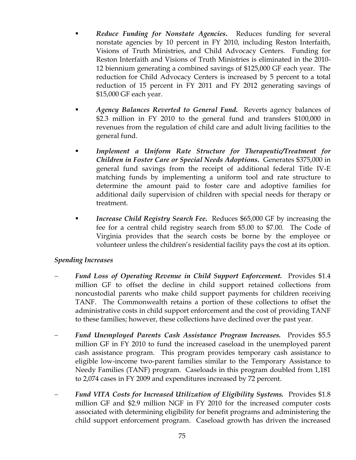- *Reduce Funding for Nonstate Agencies***.** Reduces funding for several nonstate agencies by 10 percent in FY 2010, including Reston Interfaith, Visions of Truth Ministries, and Child Advocacy Centers. Funding for Reston Interfaith and Visions of Truth Ministries is eliminated in the 2010- 12 biennium generating a combined savings of \$125,000 GF each year. The reduction for Child Advocacy Centers is increased by 5 percent to a total reduction of 15 percent in FY 2011 and FY 2012 generating savings of \$15,000 GF each year.
- *Agency Balances Reverted to General Fund***.** Reverts agency balances of \$2.3 million in FY 2010 to the general fund and transfers \$100,000 in revenues from the regulation of child care and adult living facilities to the general fund.
- *Implement a Uniform Rate Structure for Therapeutic/Treatment for Children in Foster Care or Special Needs Adoptions***.** Generates \$375,000 in general fund savings from the receipt of additional federal Title IV-E matching funds by implementing a uniform tool and rate structure to determine the amount paid to foster care and adoptive families for additional daily supervision of children with special needs for therapy or treatment.
- *Increase Child Registry Search Fee***.** Reduces \$65,000 GF by increasing the fee for a central child registry search from \$5.00 to \$7.00. The Code of Virginia provides that the search costs be borne by the employee or volunteer unless the children's residential facility pays the cost at its option.

#### *Spending Increases*

- *Fund Loss of Operating Revenue in Child Support Enforcement.* Provides \$1.4 million GF to offset the decline in child support retained collections from noncustodial parents who make child support payments for children receiving TANF. The Commonwealth retains a portion of these collections to offset the administrative costs in child support enforcement and the cost of providing TANF to these families; however, these collections have declined over the past year.
- − *Fund Unemployed Parents Cash Assistance Program Increases.* Provides \$5.5 million GF in FY 2010 to fund the increased caseload in the unemployed parent cash assistance program. This program provides temporary cash assistance to eligible low-income two-parent families similar to the Temporary Assistance to Needy Families (TANF) program. Caseloads in this program doubled from 1,181 to 2,074 cases in FY 2009 and expenditures increased by 72 percent.
- − *Fund VITA Costs for Increased Utilization of Eligibility Systems.* Provides \$1.8 million GF and \$2.9 million NGF in FY 2010 for the increased computer costs associated with determining eligibility for benefit programs and administering the child support enforcement program. Caseload growth has driven the increased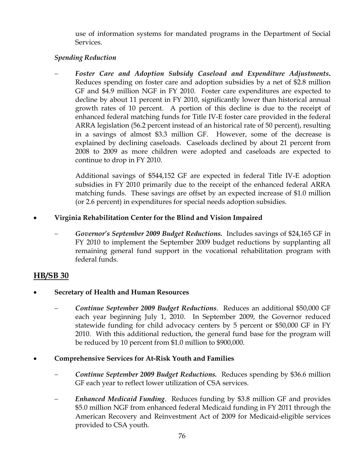use of information systems for mandated programs in the Department of Social Services.

## *Spending Reduction*

− *Foster Care and Adoption Subsidy Caseload and Expenditure Adjustments***.** Reduces spending on foster care and adoption subsidies by a net of \$2.8 million GF and \$4.9 million NGF in FY 2010. Foster care expenditures are expected to decline by about 11 percent in FY 2010, significantly lower than historical annual growth rates of 10 percent. A portion of this decline is due to the receipt of enhanced federal matching funds for Title IV-E foster care provided in the federal ARRA legislation (56.2 percent instead of an historical rate of 50 percent), resulting in a savings of almost \$3.3 million GF. However, some of the decrease is explained by declining caseloads. Caseloads declined by about 21 percent from 2008 to 2009 as more children were adopted and caseloads are expected to continue to drop in FY 2010.

Additional savings of \$544,152 GF are expected in federal Title IV-E adoption subsidies in FY 2010 primarily due to the receipt of the enhanced federal ARRA matching funds. These savings are offset by an expected increase of \$1.0 million (or 2.6 percent) in expenditures for special needs adoption subsidies.

## • **Virginia Rehabilitation Center for the Blind and Vision Impaired**

− *Governor's September 2009 Budget Reductions.* Includes savings of \$24,165 GF in FY 2010 to implement the September 2009 budget reductions by supplanting all remaining general fund support in the vocational rehabilitation program with federal funds.

# **HB/SB 30**

- **Secretary of Health and Human Resources** 
	- − *Continue September 2009 Budget Reductions*. Reduces an additional \$50,000 GF each year beginning July 1, 2010. In September 2009, the Governor reduced statewide funding for child advocacy centers by 5 percent or \$50,000 GF in FY 2010. With this additional reduction, the general fund base for the program will be reduced by 10 percent from \$1.0 million to \$900,000.

## • **Comprehensive Services for At-Risk Youth and Families**

- − *Continue September 2009 Budget Reductions.* Reduces spending by \$36.6 million GF each year to reflect lower utilization of CSA services.
- − *Enhanced Medicaid Funding*. Reduces funding by \$3.8 million GF and provides \$5.0 million NGF from enhanced federal Medicaid funding in FY 2011 through the American Recovery and Reinvestment Act of 2009 for Medicaid-eligible services provided to CSA youth.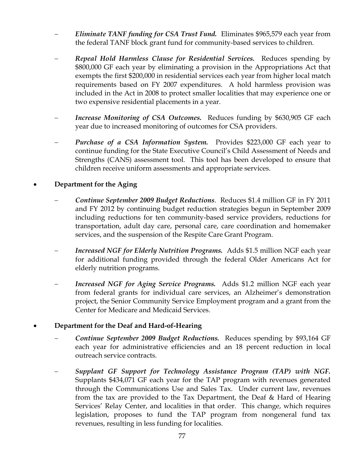- − *Eliminate TANF funding for CSA Trust Fund.* Eliminates \$965,579 each year from the federal TANF block grant fund for community-based services to children.
- − *Repeal Hold Harmless Clause for Residential Services.* Reduces spending by \$800,000 GF each year by eliminating a provision in the Appropriations Act that exempts the first \$200,000 in residential services each year from higher local match requirements based on FY 2007 expenditures. A hold harmless provision was included in the Act in 2008 to protect smaller localities that may experience one or two expensive residential placements in a year.
- *Increase Monitoring of CSA Outcomes.* Reduces funding by \$630,905 GF each year due to increased monitoring of outcomes for CSA providers.
- *Purchase of a CSA Information System.* Provides \$223,000 GF each year to continue funding for the State Executive Council's Child Assessment of Needs and Strengths (CANS) assessment tool. This tool has been developed to ensure that children receive uniform assessments and appropriate services.

## • **Department for the Aging**

- − *Continue September 2009 Budget Reductions*. Reduces \$1.4 million GF in FY 2011 and FY 2012 by continuing budget reduction strategies begun in September 2009 including reductions for ten community-based service providers, reductions for transportation, adult day care, personal care, care coordination and homemaker services, and the suspension of the Respite Care Grant Program.
- *Increased NGF for Elderly Nutrition Programs.* Adds \$1.5 million NGF each year for additional funding provided through the federal Older Americans Act for elderly nutrition programs.
- − *Increased NGF for Aging Service Programs.* Adds \$1.2 million NGF each year from federal grants for individual care services, an Alzheimer's demonstration project, the Senior Community Service Employment program and a grant from the Center for Medicare and Medicaid Services.

#### • **Department for the Deaf and Hard-of-Hearing**

- − *Continue September 2009 Budget Reductions.* Reduces spending by \$93,164 GF each year for administrative efficiencies and an 18 percent reduction in local outreach service contracts.
- − *Supplant GF Support for Technology Assistance Program (TAP) with NGF.*  Supplants \$434,071 GF each year for the TAP program with revenues generated through the Communications Use and Sales Tax. Under current law, revenues from the tax are provided to the Tax Department, the Deaf & Hard of Hearing Services' Relay Center, and localities in that order. This change, which requires legislation, proposes to fund the TAP program from nongeneral fund tax revenues, resulting in less funding for localities.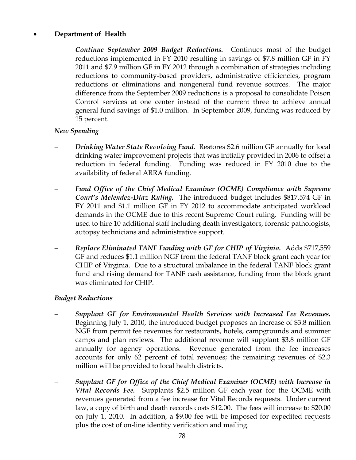## • **Department of Health**

*Continue September 2009 Budget Reductions.* Continues most of the budget reductions implemented in FY 2010 resulting in savings of \$7.8 million GF in FY 2011 and \$7.9 million GF in FY 2012 through a combination of strategies including reductions to community-based providers, administrative efficiencies, program reductions or eliminations and nongeneral fund revenue sources. The major difference from the September 2009 reductions is a proposal to consolidate Poison Control services at one center instead of the current three to achieve annual general fund savings of \$1.0 million. In September 2009, funding was reduced by 15 percent.

## *New Spending*

- *Drinking Water State Revolving Fund.* Restores \$2.6 million GF annually for local drinking water improvement projects that was initially provided in 2006 to offset a reduction in federal funding. Funding was reduced in FY 2010 due to the availability of federal ARRA funding.
- − *Fund Office of the Chief Medical Examiner (OCME) Compliance with Supreme Court's Melendez-Diaz Ruling.* The introduced budget includes \$817,574 GF in FY 2011 and \$1.1 million GF in FY 2012 to accommodate anticipated workload demands in the OCME due to this recent Supreme Court ruling. Funding will be used to hire 10 additional staff including death investigators, forensic pathologists, autopsy technicians and administrative support.
- − *Replace Eliminated TANF Funding with GF for CHIP of Virginia.* Adds \$717,559 GF and reduces \$1.1 million NGF from the federal TANF block grant each year for CHIP of Virginia. Due to a structural imbalance in the federal TANF block grant fund and rising demand for TANF cash assistance, funding from the block grant was eliminated for CHIP.

#### *Budget Reductions*

- − *Supplant GF for Environmental Health Services with Increased Fee Revenues.*  Beginning July 1, 2010, the introduced budget proposes an increase of \$3.8 million NGF from permit fee revenues for restaurants, hotels, campgrounds and summer camps and plan reviews. The additional revenue will supplant \$3.8 million GF annually for agency operations. Revenue generated from the fee increases accounts for only 62 percent of total revenues; the remaining revenues of \$2.3 million will be provided to local health districts.
- − *Supplant GF for Office of the Chief Medical Examiner (OCME) with Increase in Vital Records Fee.* Supplants \$2.5 million GF each year for the OCME with revenues generated from a fee increase for Vital Records requests. Under current law, a copy of birth and death records costs \$12.00. The fees will increase to \$20.00 on July 1, 2010. In addition, a \$9.00 fee will be imposed for expedited requests plus the cost of on-line identity verification and mailing.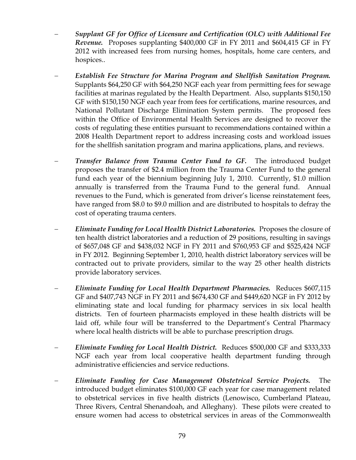- − *Supplant GF for Office of Licensure and Certification (OLC) with Additional Fee Revenue.* Proposes supplanting \$400,000 GF in FY 2011 and \$604,415 GF in FY 2012 with increased fees from nursing homes, hospitals, home care centers, and hospices..
- − *Establish Fee Structure for Marina Program and Shellfish Sanitation Program.* Supplants \$64,250 GF with \$64,250 NGF each year from permitting fees for sewage facilities at marinas regulated by the Health Department. Also, supplants \$150,150 GF with \$150,150 NGF each year from fees for certifications, marine resources, and National Pollutant Discharge Elimination System permits. The proposed fees within the Office of Environmental Health Services are designed to recover the costs of regulating these entities pursuant to recommendations contained within a 2008 Health Department report to address increasing costs and workload issues for the shellfish sanitation program and marina applications, plans, and reviews.
- **Transfer Balance from Trauma Center Fund to GF.** The introduced budget proposes the transfer of \$2.4 million from the Trauma Center Fund to the general fund each year of the biennium beginning July 1, 2010. Currently, \$1.0 million annually is transferred from the Trauma Fund to the general fund. Annual revenues to the Fund, which is generated from driver's license reinstatement fees, have ranged from \$8.0 to \$9.0 million and are distributed to hospitals to defray the cost of operating trauma centers.
- − *Eliminate Funding for Local Health District Laboratories.* Proposes the closure of ten health district laboratories and a reduction of 29 positions, resulting in savings of \$657,048 GF and \$438,032 NGF in FY 2011 and \$760,953 GF and \$525,424 NGF in FY 2012. Beginning September 1, 2010, health district laboratory services will be contracted out to private providers, similar to the way 25 other health districts provide laboratory services.
- − *Eliminate Funding for Local Health Department Pharmacies.* Reduces \$607,115 GF and \$407,743 NGF in FY 2011 and \$674,430 GF and \$449,620 NGF in FY 2012 by eliminating state and local funding for pharmacy services in six local health districts. Ten of fourteen pharmacists employed in these health districts will be laid off, while four will be transferred to the Department's Central Pharmacy where local health districts will be able to purchase prescription drugs.
- − *Eliminate Funding for Local Health District.* Reduces \$500,000 GF and \$333,333 NGF each year from local cooperative health department funding through administrative efficiencies and service reductions.
- − *Eliminate Funding for Case Management Obstetrical Service Projects.* The introduced budget eliminates \$100,000 GF each year for case management related to obstetrical services in five health districts (Lenowisco, Cumberland Plateau, Three Rivers, Central Shenandoah, and Alleghany). These pilots were created to ensure women had access to obstetrical services in areas of the Commonwealth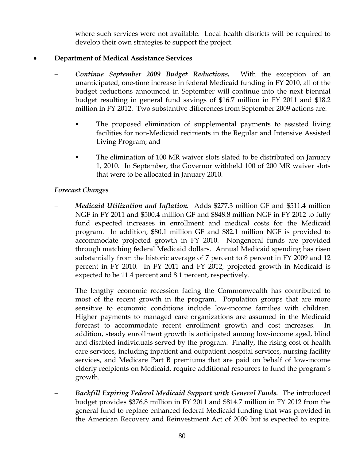where such services were not available. Local health districts will be required to develop their own strategies to support the project.

## • **Department of Medical Assistance Services**

- − *Continue September 2009 Budget Reductions.* With the exception of an unanticipated, one-time increase in federal Medicaid funding in FY 2010, all of the budget reductions announced in September will continue into the next biennial budget resulting in general fund savings of \$16.7 million in FY 2011 and \$18.2 million in FY 2012. Two substantive differences from September 2009 actions are:
	- The proposed elimination of supplemental payments to assisted living facilities for non-Medicaid recipients in the Regular and Intensive Assisted Living Program; and
	- The elimination of 100 MR waiver slots slated to be distributed on January 1, 2010. In September, the Governor withheld 100 of 200 MR waiver slots that were to be allocated in January 2010.

#### *Forecast Changes*

− *Medicaid Utilization and Inflation.* Adds \$277.3 million GF and \$511.4 million NGF in FY 2011 and \$500.4 million GF and \$848.8 million NGF in FY 2012 to fully fund expected increases in enrollment and medical costs for the Medicaid program. In addition, \$80.1 million GF and \$82.1 million NGF is provided to accommodate projected growth in FY 2010. Nongeneral funds are provided through matching federal Medicaid dollars. Annual Medicaid spending has risen substantially from the historic average of 7 percent to 8 percent in FY 2009 and 12 percent in FY 2010. In FY 2011 and FY 2012, projected growth in Medicaid is expected to be 11.4 percent and 8.1 percent, respectively.

The lengthy economic recession facing the Commonwealth has contributed to most of the recent growth in the program. Population groups that are more sensitive to economic conditions include low-income families with children. Higher payments to managed care organizations are assumed in the Medicaid forecast to accommodate recent enrollment growth and cost increases. In addition, steady enrollment growth is anticipated among low-income aged, blind and disabled individuals served by the program. Finally, the rising cost of health care services, including inpatient and outpatient hospital services, nursing facility services, and Medicare Part B premiums that are paid on behalf of low-income elderly recipients on Medicaid, require additional resources to fund the program's growth.

− *Backfill Expiring Federal Medicaid Support with General Funds.* The introduced budget provides \$376.8 million in FY 2011 and \$814.7 million in FY 2012 from the general fund to replace enhanced federal Medicaid funding that was provided in the American Recovery and Reinvestment Act of 2009 but is expected to expire.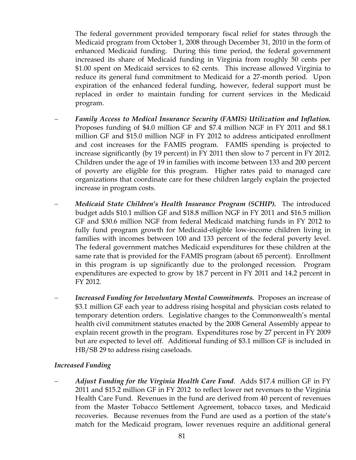The federal government provided temporary fiscal relief for states through the Medicaid program from October 1, 2008 through December 31, 2010 in the form of enhanced Medicaid funding. During this time period, the federal government increased its share of Medicaid funding in Virginia from roughly 50 cents per \$1.00 spent on Medicaid services to 62 cents. This increase allowed Virginia to reduce its general fund commitment to Medicaid for a 27-month period. Upon expiration of the enhanced federal funding, however, federal support must be replaced in order to maintain funding for current services in the Medicaid program.

- − *Family Access to Medical Insurance Security (FAMIS) Utilization and Inflation.* Proposes funding of \$4.0 million GF and \$7.4 million NGF in FY 2011 and \$8.1 million GF and \$15.0 million NGF in FY 2012 to address anticipated enrollment and cost increases for the FAMIS program. FAMIS spending is projected to increase significantly (by 19 percent) in FY 2011 then slow to 7 percent in FY 2012. Children under the age of 19 in families with income between 133 and 200 percent of poverty are eligible for this program. Higher rates paid to managed care organizations that coordinate care for these children largely explain the projected increase in program costs.
- − *Medicaid State Children's Health Insurance Program (SCHIP).* The introduced budget adds \$10.1 million GF and \$18.8 million NGF in FY 2011 and \$16.5 million GF and \$30.6 million NGF from federal Medicaid matching funds in FY 2012 to fully fund program growth for Medicaid-eligible low-income children living in families with incomes between 100 and 133 percent of the federal poverty level. The federal government matches Medicaid expenditures for these children at the same rate that is provided for the FAMIS program (about 65 percent). Enrollment in this program is up significantly due to the prolonged recession. Program expenditures are expected to grow by 18.7 percent in FY 2011 and 14.2 percent in FY 2012.
- *Increased Funding for Involuntary Mental Commitments.* Proposes an increase of \$3.1 million GF each year to address rising hospital and physician costs related to temporary detention orders. Legislative changes to the Commonwealth's mental health civil commitment statutes enacted by the 2008 General Assembly appear to explain recent growth in the program. Expenditures rose by 27 percent in FY 2009 but are expected to level off. Additional funding of \$3.1 million GF is included in HB/SB 29 to address rising caseloads.

#### *Increased Funding*

− *Adjust Funding for the Virginia Health Care Fund*. Adds \$17.4 million GF in FY 2011 and \$15.2 million GF in FY 2012 to reflect lower net revenues to the Virginia Health Care Fund. Revenues in the fund are derived from 40 percent of revenues from the Master Tobacco Settlement Agreement, tobacco taxes, and Medicaid recoveries. Because revenues from the Fund are used as a portion of the state's match for the Medicaid program, lower revenues require an additional general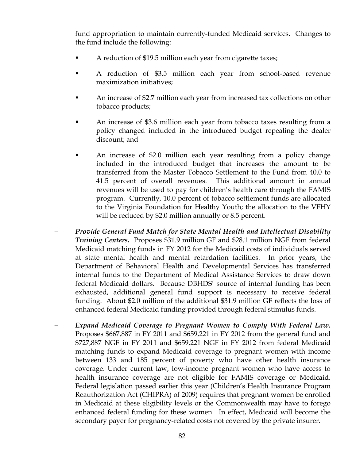fund appropriation to maintain currently-funded Medicaid services. Changes to the fund include the following:

- A reduction of \$19.5 million each year from cigarette taxes;
- A reduction of \$3.5 million each year from school-based revenue maximization initiatives;
- An increase of \$2.7 million each year from increased tax collections on other tobacco products;
- An increase of \$3.6 million each year from tobacco taxes resulting from a policy changed included in the introduced budget repealing the dealer discount; and
- An increase of \$2.0 million each year resulting from a policy change included in the introduced budget that increases the amount to be transferred from the Master Tobacco Settlement to the Fund from 40.0 to 41.5 percent of overall revenues. This additional amount in annual revenues will be used to pay for children's health care through the FAMIS program. Currently, 10.0 percent of tobacco settlement funds are allocated to the Virginia Foundation for Healthy Youth; the allocation to the VFHY will be reduced by \$2.0 million annually or 8.5 percent.
- − *Provide General Fund Match for State Mental Health and Intellectual Disability Training Centers.* Proposes \$31.9 million GF and \$28.1 million NGF from federal Medicaid matching funds in FY 2012 for the Medicaid costs of individuals served at state mental health and mental retardation facilities. In prior years, the Department of Behavioral Health and Developmental Services has transferred internal funds to the Department of Medical Assistance Services to draw down federal Medicaid dollars. Because DBHDS' source of internal funding has been exhausted, additional general fund support is necessary to receive federal funding. About \$2.0 million of the additional \$31.9 million GF reflects the loss of enhanced federal Medicaid funding provided through federal stimulus funds.
- Expand Medicaid Coverage to Pregnant Women to Comply With Federal Law. Proposes \$667,887 in FY 2011 and \$659,221 in FY 2012 from the general fund and \$727,887 NGF in FY 2011 and \$659,221 NGF in FY 2012 from federal Medicaid matching funds to expand Medicaid coverage to pregnant women with income between 133 and 185 percent of poverty who have other health insurance coverage. Under current law, low-income pregnant women who have access to health insurance coverage are not eligible for FAMIS coverage or Medicaid. Federal legislation passed earlier this year (Children's Health Insurance Program Reauthorization Act (CHIPRA) of 2009) requires that pregnant women be enrolled in Medicaid at these eligibility levels or the Commonwealth may have to forego enhanced federal funding for these women. In effect, Medicaid will become the secondary payer for pregnancy-related costs not covered by the private insurer.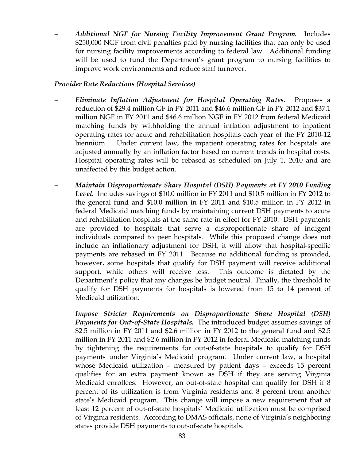− *Additional NGF for Nursing Facility Improvement Grant Program.* Includes \$250,000 NGF from civil penalties paid by nursing facilities that can only be used for nursing facility improvements according to federal law. Additional funding will be used to fund the Department's grant program to nursing facilities to improve work environments and reduce staff turnover.

#### *Provider Rate Reductions (Hospital Services)*

- − *Eliminate Inflation Adjustment for Hospital Operating Rates.* Proposes a reduction of \$29.4 million GF in FY 2011 and \$46.6 million GF in FY 2012 and \$37.1 million NGF in FY 2011 and \$46.6 million NGF in FY 2012 from federal Medicaid matching funds by withholding the annual inflation adjustment to inpatient operating rates for acute and rehabilitation hospitals each year of the FY 2010-12 biennium. Under current law, the inpatient operating rates for hospitals are adjusted annually by an inflation factor based on current trends in hospital costs. Hospital operating rates will be rebased as scheduled on July 1, 2010 and are unaffected by this budget action.
- − *Maintain Disproportionate Share Hospital (DSH) Payments at FY 2010 Funding Level.* Includes savings of \$10.0 million in FY 2011 and \$10.5 million in FY 2012 to the general fund and \$10.0 million in FY 2011 and \$10.5 million in FY 2012 in federal Medicaid matching funds by maintaining current DSH payments to acute and rehabilitation hospitals at the same rate in effect for FY 2010. DSH payments are provided to hospitals that serve a disproportionate share of indigent individuals compared to peer hospitals. While this proposed change does not include an inflationary adjustment for DSH, it will allow that hospital-specific payments are rebased in FY 2011. Because no additional funding is provided, however, some hospitals that qualify for DSH payment will receive additional support, while others will receive less. This outcome is dictated by the Department's policy that any changes be budget neutral. Finally, the threshold to qualify for DSH payments for hospitals is lowered from 15 to 14 percent of Medicaid utilization.
- *Impose Stricter Requirements on Disproportionate Share Hospital (DSH) Payments for Out-of-State Hospitals.* The introduced budget assumes savings of \$2.5 million in FY 2011 and \$2.6 million in FY 2012 to the general fund and \$2.5 million in FY 2011 and \$2.6 million in FY 2012 in federal Medicaid matching funds by tightening the requirements for out-of-state hospitals to qualify for DSH payments under Virginia's Medicaid program. Under current law, a hospital whose Medicaid utilization – measured by patient days – exceeds 15 percent qualifies for an extra payment known as DSH if they are serving Virginia Medicaid enrollees. However, an out-of-state hospital can qualify for DSH if 8 percent of its utilization is from Virginia residents and 8 percent from another state's Medicaid program. This change will impose a new requirement that at least 12 percent of out-of-state hospitals' Medicaid utilization must be comprised of Virginia residents. According to DMAS officials, none of Virginia's neighboring states provide DSH payments to out-of-state hospitals.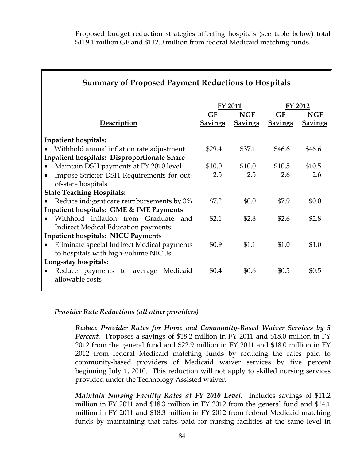Proposed budget reduction strategies affecting hospitals (see table below) total \$119.1 million GF and \$112.0 million from federal Medicaid matching funds.

| <b>Summary of Proposed Payment Reductions to Hospitals</b> |                      |                       |                      |                              |  |
|------------------------------------------------------------|----------------------|-----------------------|----------------------|------------------------------|--|
|                                                            | <b>FY 2011</b>       |                       | FY 2012              |                              |  |
| <b>Description</b>                                         | GF<br><b>Savings</b> | NGF<br><b>Savings</b> | GF<br><b>Savings</b> | <b>NGF</b><br><b>Savings</b> |  |
| <b>Inpatient hospitals:</b>                                |                      |                       |                      |                              |  |
| Withhold annual inflation rate adjustment                  | \$29.4               | \$37.1                | \$46.6               | \$46.6                       |  |
| <b>Inpatient hospitals: Disproportionate Share</b>         |                      |                       |                      |                              |  |
| Maintain DSH payments at FY 2010 level<br>۰                | \$10.0               | \$10.0                | \$10.5               | \$10.5                       |  |
| Impose Stricter DSH Requirements for out-                  | 2.5                  | 2.5                   | 2.6                  | 2.6                          |  |
| of-state hospitals                                         |                      |                       |                      |                              |  |
| <b>State Teaching Hospitals:</b>                           |                      |                       |                      |                              |  |
| Reduce indigent care reimbursements by 3%<br>$\bullet$     | \$7.2                | \$0.0                 | \$7.9                | \$0.0                        |  |
| Inpatient hospitals: GME & IME Payments                    |                      |                       |                      |                              |  |
| Withhold inflation from Graduate and                       | \$2.1                | \$2.8                 | \$2.6                | \$2.8                        |  |
| <b>Indirect Medical Education payments</b>                 |                      |                       |                      |                              |  |
| <b>Inpatient hospitals: NICU Payments</b>                  |                      |                       |                      |                              |  |
| Eliminate special Indirect Medical payments                | \$0.9                | \$1.1                 | \$1.0                | \$1.0                        |  |
| to hospitals with high-volume NICUs                        |                      |                       |                      |                              |  |
| Long-stay hospitals:                                       |                      |                       |                      |                              |  |
| Reduce payments to average Medicaid                        | \$0.4                | \$0.6                 | \$0.5                | \$0.5                        |  |
| allowable costs                                            |                      |                       |                      |                              |  |
|                                                            |                      |                       |                      |                              |  |

#### *Provider Rate Reductions (all other providers)*

- − *Reduce Provider Rates for Home and Community-Based Waiver Services by 5 Percent.* Proposes a savings of \$18.2 million in FY 2011 and \$18.0 million in FY 2012 from the general fund and \$22.9 million in FY 2011 and \$18.0 million in FY 2012 from federal Medicaid matching funds by reducing the rates paid to community-based providers of Medicaid waiver services by five percent beginning July 1, 2010. This reduction will not apply to skilled nursing services provided under the Technology Assisted waiver.
- *Maintain Nursing Facility Rates at FY 2010 Level.* Includes savings of \$11.2 million in FY 2011 and \$18.3 million in FY 2012 from the general fund and \$14.1 million in FY 2011 and \$18.3 million in FY 2012 from federal Medicaid matching funds by maintaining that rates paid for nursing facilities at the same level in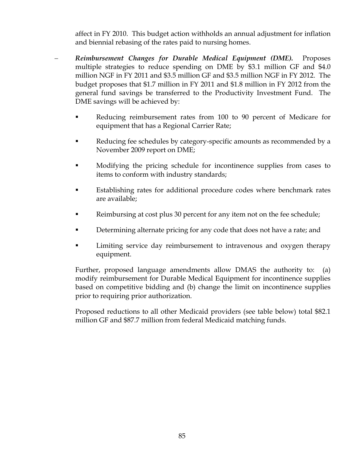affect in FY 2010. This budget action withholds an annual adjustment for inflation and biennial rebasing of the rates paid to nursing homes.

- − *Reimbursement Changes for Durable Medical Equipment (DME).* Proposes multiple strategies to reduce spending on DME by \$3.1 million GF and \$4.0 million NGF in FY 2011 and \$3.5 million GF and \$3.5 million NGF in FY 2012. The budget proposes that \$1.7 million in FY 2011 and \$1.8 million in FY 2012 from the general fund savings be transferred to the Productivity Investment Fund. The DME savings will be achieved by:
	- Reducing reimbursement rates from 100 to 90 percent of Medicare for equipment that has a Regional Carrier Rate;
	- Reducing fee schedules by category-specific amounts as recommended by a November 2009 report on DME;
	- Modifying the pricing schedule for incontinence supplies from cases to items to conform with industry standards;
	- Establishing rates for additional procedure codes where benchmark rates are available;
	- Reimbursing at cost plus 30 percent for any item not on the fee schedule;
	- Determining alternate pricing for any code that does not have a rate; and
	- Limiting service day reimbursement to intravenous and oxygen therapy equipment.

Further, proposed language amendments allow DMAS the authority to: (a) modify reimbursement for Durable Medical Equipment for incontinence supplies based on competitive bidding and (b) change the limit on incontinence supplies prior to requiring prior authorization.

Proposed reductions to all other Medicaid providers (see table below) total \$82.1 million GF and \$87.7 million from federal Medicaid matching funds.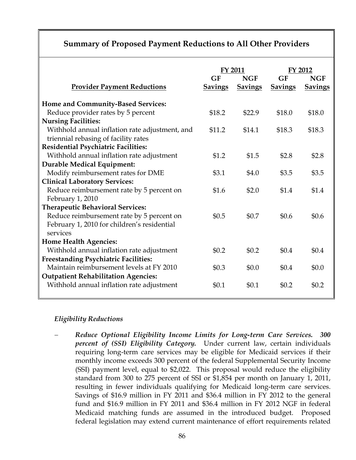# **Summary of Proposed Payment Reductions to All Other Providers**

|                                                | <b>FY 2011</b> |                | FY 2012        |                |
|------------------------------------------------|----------------|----------------|----------------|----------------|
|                                                | GF             | <b>NGF</b>     | GF             | <b>NGF</b>     |
| <b>Provider Payment Reductions</b>             | <b>Savings</b> | <b>Savings</b> | <b>Savings</b> | <b>Savings</b> |
| <b>Home and Community-Based Services:</b>      |                |                |                |                |
| Reduce provider rates by 5 percent             | \$18.2         | \$22.9         | \$18.0         | \$18.0         |
| <b>Nursing Facilities:</b>                     |                |                |                |                |
| Withhold annual inflation rate adjustment, and | \$11.2         | \$14.1         | \$18.3         | \$18.3         |
| triennial rebasing of facility rates           |                |                |                |                |
| <b>Residential Psychiatric Facilities:</b>     |                |                |                |                |
| Withhold annual inflation rate adjustment      | \$1.2          | \$1.5          | \$2.8          | \$2.8          |
| <b>Durable Medical Equipment:</b>              |                |                |                |                |
| Modify reimbursement rates for DME             | \$3.1          | \$4.0          | \$3.5          | \$3.5          |
| <b>Clinical Laboratory Services:</b>           |                |                |                |                |
| Reduce reimbursement rate by 5 percent on      | \$1.6          | \$2.0          | \$1.4          | \$1.4          |
| February 1, 2010                               |                |                |                |                |
| <b>Therapeutic Behavioral Services:</b>        |                |                |                |                |
| Reduce reimbursement rate by 5 percent on      | \$0.5          | \$0.7          | \$0.6          | \$0.6          |
| February 1, 2010 for children's residential    |                |                |                |                |
| services                                       |                |                |                |                |
| <b>Home Health Agencies:</b>                   |                |                |                |                |
| Withhold annual inflation rate adjustment      | \$0.2\$        | \$0.2\$        | \$0.4          | \$0.4          |
| <b>Freestanding Psychiatric Facilities:</b>    |                |                |                |                |
| Maintain reimbursement levels at FY 2010       | \$0.3\$        | \$0.0          | \$0.4          | \$0.0          |
| <b>Outpatient Rehabilitation Agencies:</b>     |                |                |                |                |
| Withhold annual inflation rate adjustment      | \$0.1          | \$0.1          | \$0.2          | \$0.2          |
|                                                |                |                |                |                |

# *Eligibility Reductions*

− *Reduce Optional Eligibility Income Limits for Long-term Care Services. 300 percent of (SSI) Eligibility Category.* Under current law, certain individuals requiring long-term care services may be eligible for Medicaid services if their monthly income exceeds 300 percent of the federal Supplemental Security Income (SSI) payment level, equal to \$2,022. This proposal would reduce the eligibility standard from 300 to 275 percent of SSI or \$1,854 per month on January 1, 2011, resulting in fewer individuals qualifying for Medicaid long-term care services. Savings of \$16.9 million in FY 2011 and \$36.4 million in FY 2012 to the general fund and \$16.9 million in FY 2011 and \$36.4 million in FY 2012 NGF in federal Medicaid matching funds are assumed in the introduced budget. Proposed federal legislation may extend current maintenance of effort requirements related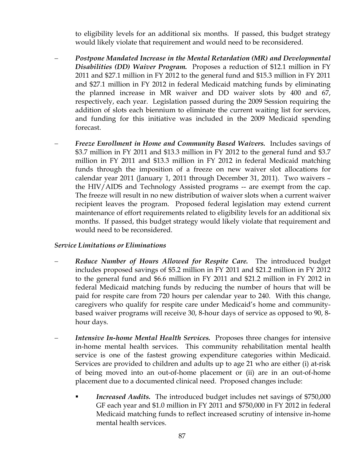to eligibility levels for an additional six months. If passed, this budget strategy would likely violate that requirement and would need to be reconsidered.

- − *Postpone Mandated Increase in the Mental Retardation (MR) and Developmental Disabilities (DD) Waiver Program.* Proposes a reduction of \$12.1 million in FY 2011 and \$27.1 million in FY 2012 to the general fund and \$15.3 million in FY 2011 and \$27.1 million in FY 2012 in federal Medicaid matching funds by eliminating the planned increase in MR waiver and DD waiver slots by 400 and 67, respectively, each year. Legislation passed during the 2009 Session requiring the addition of slots each biennium to eliminate the current waiting list for services, and funding for this initiative was included in the 2009 Medicaid spending forecast.
- − *Freeze Enrollment in Home and Community Based Waivers.* Includes savings of \$3.7 million in FY 2011 and \$13.3 million in FY 2012 to the general fund and \$3.7 million in FY 2011 and \$13.3 million in FY 2012 in federal Medicaid matching funds through the imposition of a freeze on new waiver slot allocations for calendar year 2011 (January 1, 2011 through December 31, 2011). Two waivers – the HIV/AIDS and Technology Assisted programs -- are exempt from the cap. The freeze will result in no new distribution of waiver slots when a current waiver recipient leaves the program. Proposed federal legislation may extend current maintenance of effort requirements related to eligibility levels for an additional six months. If passed, this budget strategy would likely violate that requirement and would need to be reconsidered.

#### *Service Limitations or Eliminations*

- *Reduce Number of Hours Allowed for Respite Care.* The introduced budget includes proposed savings of \$5.2 million in FY 2011 and \$21.2 million in FY 2012 to the general fund and \$6.6 million in FY 2011 and \$21.2 million in FY 2012 in federal Medicaid matching funds by reducing the number of hours that will be paid for respite care from 720 hours per calendar year to 240. With this change, caregivers who qualify for respite care under Medicaid's home and communitybased waiver programs will receive 30, 8-hour days of service as opposed to 90, 8 hour days.
- *Intensive In-home Mental Health Services.* Proposes three changes for intensive in-home mental health services. This community rehabilitation mental health service is one of the fastest growing expenditure categories within Medicaid. Services are provided to children and adults up to age 21 who are either (i) at-risk of being moved into an out-of-home placement or (ii) are in an out-of-home placement due to a documented clinical need. Proposed changes include:
	- *Increased Audits.* The introduced budget includes net savings of \$750,000 GF each year and \$1.0 million in FY 2011 and \$750,000 in FY 2012 in federal Medicaid matching funds to reflect increased scrutiny of intensive in-home mental health services.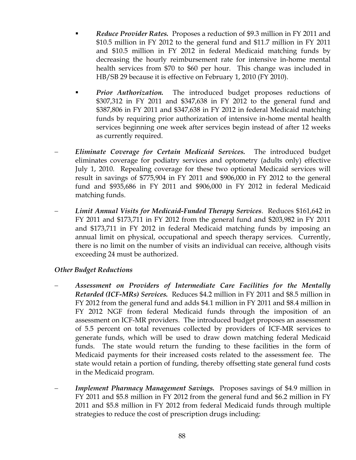- *Reduce Provider Rates.* Proposes a reduction of \$9.3 million in FY 2011 and \$10.5 million in FY 2012 to the general fund and \$11.7 million in FY 2011 and \$10.5 million in FY 2012 in federal Medicaid matching funds by decreasing the hourly reimbursement rate for intensive in-home mental health services from \$70 to \$60 per hour. This change was included in HB/SB 29 because it is effective on February 1, 2010 (FY 2010).
- *Prior Authorization.* The introduced budget proposes reductions of \$307,312 in FY 2011 and \$347,638 in FY 2012 to the general fund and \$387,806 in FY 2011 and \$347,638 in FY 2012 in federal Medicaid matching funds by requiring prior authorization of intensive in-home mental health services beginning one week after services begin instead of after 12 weeks as currently required.
- − *Eliminate Coverage for Certain Medicaid Services.* The introduced budget eliminates coverage for podiatry services and optometry (adults only) effective July 1, 2010. Repealing coverage for these two optional Medicaid services will result in savings of \$775,904 in FY 2011 and \$906,000 in FY 2012 to the general fund and \$935,686 in FY 2011 and \$906,000 in FY 2012 in federal Medicaid matching funds.
- − *Limit Annual Visits for Medicaid-Funded Therapy Services*. Reduces \$161,642 in FY 2011 and \$173,711 in FY 2012 from the general fund and \$203,982 in FY 2011 and \$173,711 in FY 2012 in federal Medicaid matching funds by imposing an annual limit on physical, occupational and speech therapy services. Currently, there is no limit on the number of visits an individual can receive, although visits exceeding 24 must be authorized.

#### *Other Budget Reductions*

- − *Assessment on Providers of Intermediate Care Facilities for the Mentally Retarded (ICF-MRs) Services.* Reduces \$4.2 million in FY 2011 and \$8.5 million in FY 2012 from the general fund and adds \$4.1 million in FY 2011 and \$8.4 million in FY 2012 NGF from federal Medicaid funds through the imposition of an assessment on ICF-MR providers. The introduced budget proposes an assessment of 5.5 percent on total revenues collected by providers of ICF-MR services to generate funds, which will be used to draw down matching federal Medicaid funds. The state would return the funding to these facilities in the form of Medicaid payments for their increased costs related to the assessment fee. The state would retain a portion of funding, thereby offsetting state general fund costs in the Medicaid program.
- *Implement Pharmacy Management Savings.* Proposes savings of \$4.9 million in FY 2011 and \$5.8 million in FY 2012 from the general fund and \$6.2 million in FY 2011 and \$5.8 million in FY 2012 from federal Medicaid funds through multiple strategies to reduce the cost of prescription drugs including: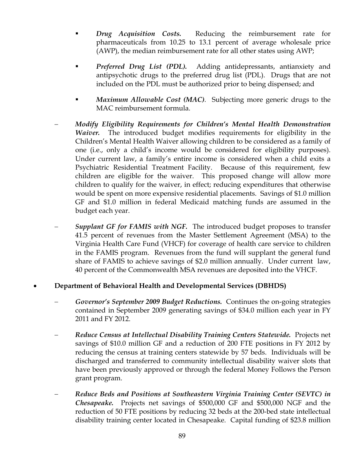- *Drug Acquisition Costs.* Reducing the reimbursement rate for pharmaceuticals from 10.25 to 13.1 percent of average wholesale price (AWP), the median reimbursement rate for all other states using AWP;
- *Preferred Drug List (PDL).* Adding antidepressants, antianxiety and antipsychotic drugs to the preferred drug list (PDL). Drugs that are not included on the PDL must be authorized prior to being dispensed; and
- *Maximum Allowable Cost (MAC).* Subjecting more generic drugs to the MAC reimbursement formula.
- − *Modify Eligibility Requirements for Children's Mental Health Demonstration Waiver.* The introduced budget modifies requirements for eligibility in the Children's Mental Health Waiver allowing children to be considered as a family of one (i.e., only a child's income would be considered for eligibility purposes). Under current law, a family's entire income is considered when a child exits a Psychiatric Residential Treatment Facility. Because of this requirement, few children are eligible for the waiver. This proposed change will allow more children to qualify for the waiver, in effect; reducing expenditures that otherwise would be spent on more expensive residential placements. Savings of \$1.0 million GF and \$1.0 million in federal Medicaid matching funds are assumed in the budget each year.
- *Supplant GF for FAMIS with NGF.* The introduced budget proposes to transfer 41.5 percent of revenues from the Master Settlement Agreement (MSA) to the Virginia Health Care Fund (VHCF) for coverage of health care service to children in the FAMIS program. Revenues from the fund will supplant the general fund share of FAMIS to achieve savings of \$2.0 million annually. Under current law, 40 percent of the Commonwealth MSA revenues are deposited into the VHCF.

## • **Department of Behavioral Health and Developmental Services (DBHDS)**

- − *Governor's September 2009 Budget Reductions.* Continues the on-going strategies contained in September 2009 generating savings of \$34.0 million each year in FY 2011 and FY 2012.
- − *Reduce Census at Intellectual Disability Training Centers Statewide.* Projects net savings of \$10.0 million GF and a reduction of 200 FTE positions in FY 2012 by reducing the census at training centers statewide by 57 beds. Individuals will be discharged and transferred to community intellectual disability waiver slots that have been previously approved or through the federal Money Follows the Person grant program.
- − *Reduce Beds and Positions at Southeastern Virginia Training Center (SEVTC) in Chesapeake.* Projects net savings of \$500,000 GF and \$500,000 NGF and the reduction of 50 FTE positions by reducing 32 beds at the 200-bed state intellectual disability training center located in Chesapeake. Capital funding of \$23.8 million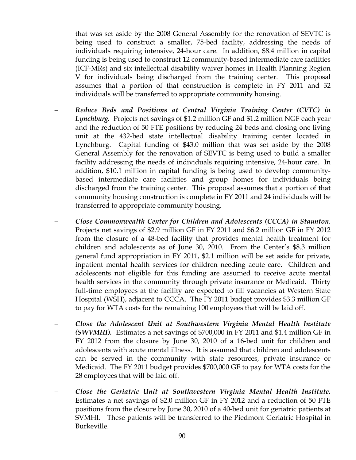that was set aside by the 2008 General Assembly for the renovation of SEVTC is being used to construct a smaller, 75-bed facility, addressing the needs of individuals requiring intensive, 24-hour care. In addition, \$8.4 million in capital funding is being used to construct 12 community-based intermediate care facilities (ICF-MRs) and six intellectual disability waiver homes in Health Planning Region V for individuals being discharged from the training center. This proposal assumes that a portion of that construction is complete in FY 2011 and 32 individuals will be transferred to appropriate community housing.

- − *Reduce Beds and Positions at Central Virginia Training Center (CVTC) in Lynchburg.* Projects net savings of \$1.2 million GF and \$1.2 million NGF each year and the reduction of 50 FTE positions by reducing 24 beds and closing one living unit at the 432-bed state intellectual disability training center located in Lynchburg. Capital funding of \$43.0 million that was set aside by the 2008 General Assembly for the renovation of SEVTC is being used to build a smaller facility addressing the needs of individuals requiring intensive, 24-hour care. In addition, \$10.1 million in capital funding is being used to develop communitybased intermediate care facilities and group homes for individuals being discharged from the training center. This proposal assumes that a portion of that community housing construction is complete in FY 2011 and 24 individuals will be transferred to appropriate community housing.
- − *Close Commonwealth Center for Children and Adolescents (CCCA) in Staunton*. Projects net savings of \$2.9 million GF in FY 2011 and \$6.2 million GF in FY 2012 from the closure of a 48-bed facility that provides mental health treatment for children and adolescents as of June 30, 2010. From the Center's \$8.3 million general fund appropriation in FY 2011, \$2.1 million will be set aside for private, inpatient mental health services for children needing acute care. Children and adolescents not eligible for this funding are assumed to receive acute mental health services in the community through private insurance or Medicaid. Thirty full-time employees at the facility are expected to fill vacancies at Western State Hospital (WSH), adjacent to CCCA. The FY 2011 budget provides \$3.3 million GF to pay for WTA costs for the remaining 100 employees that will be laid off.
- − *Close the Adolescent Unit at Southwestern Virginia Mental Health Institute (SWVMHI).* Estimates a net savings of \$700,000 in FY 2011 and \$1.4 million GF in FY 2012 from the closure by June 30, 2010 of a 16-bed unit for children and adolescents with acute mental illness. It is assumed that children and adolescents can be served in the community with state resources, private insurance or Medicaid. The FY 2011 budget provides \$700,000 GF to pay for WTA costs for the 28 employees that will be laid off.
- − *Close the Geriatric Unit at Southwestern Virginia Mental Health Institute.*  Estimates a net savings of \$2.0 million GF in FY 2012 and a reduction of 50 FTE positions from the closure by June 30, 2010 of a 40-bed unit for geriatric patients at SVMHI. These patients will be transferred to the Piedmont Geriatric Hospital in Burkeville.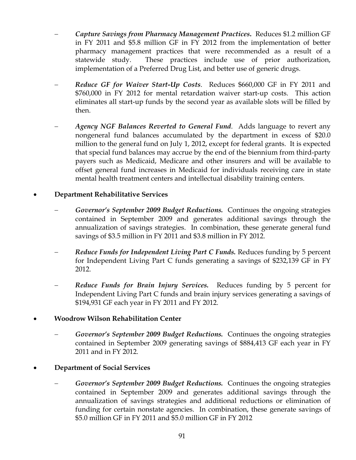- − *Capture Savings from Pharmacy Management Practices***.** Reduces \$1.2 million GF in FY 2011 and \$5.8 million GF in FY 2012 from the implementation of better pharmacy management practices that were recommended as a result of a statewide study. These practices include use of prior authorization, implementation of a Preferred Drug List, and better use of generic drugs.
- − *Reduce GF for Waiver Start-Up Costs*. Reduces \$660,000 GF in FY 2011 and \$760,000 in FY 2012 for mental retardation waiver start-up costs. This action eliminates all start-up funds by the second year as available slots will be filled by then.
- − *Agency NGF Balances Reverted to General Fund*. Adds language to revert any nongeneral fund balances accumulated by the department in excess of \$20.0 million to the general fund on July 1, 2012, except for federal grants. It is expected that special fund balances may accrue by the end of the biennium from third-party payers such as Medicaid, Medicare and other insurers and will be available to offset general fund increases in Medicaid for individuals receiving care in state mental health treatment centers and intellectual disability training centers.

#### • **Department Rehabilitative Services**

- Governor's September 2009 Budget Reductions. Continues the ongoing strategies contained in September 2009 and generates additional savings through the annualization of savings strategies. In combination, these generate general fund savings of \$3.5 million in FY 2011 and \$3.8 million in FY 2012.
- *Reduce Funds for Independent Living Part C Funds. Reduces funding by 5 percent* for Independent Living Part C funds generating a savings of \$232,139 GF in FY 2012.
- *Reduce Funds for Brain Injury Services.* Reduces funding by 5 percent for Independent Living Part C funds and brain injury services generating a savings of \$194,931 GF each year in FY 2011 and FY 2012.

## • **Woodrow Wilson Rehabilitation Center**

− *Governor's September 2009 Budget Reductions.* Continues the ongoing strategies contained in September 2009 generating savings of \$884,413 GF each year in FY 2011 and in FY 2012.

## • **Department of Social Services**

− *Governor's September 2009 Budget Reductions.* Continues the ongoing strategies contained in September 2009 and generates additional savings through the annualization of savings strategies and additional reductions or elimination of funding for certain nonstate agencies. In combination, these generate savings of \$5.0 million GF in FY 2011 and \$5.0 million GF in FY 2012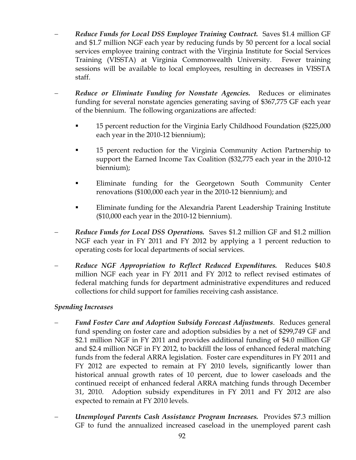- *Reduce Funds for Local DSS Employee Training Contract.* Saves \$1.4 million GF and \$1.7 million NGF each year by reducing funds by 50 percent for a local social services employee training contract with the Virginia Institute for Social Services Training (VISSTA) at Virginia Commonwealth University. Fewer training sessions will be available to local employees, resulting in decreases in VISSTA staff.
- − *Reduce or Eliminate Funding for Nonstate Agencies.* Reduces or eliminates funding for several nonstate agencies generating saving of \$367,775 GF each year of the biennium. The following organizations are affected:
	- 15 percent reduction for the Virginia Early Childhood Foundation (\$225,000 each year in the 2010-12 biennium);
	- 15 percent reduction for the Virginia Community Action Partnership to support the Earned Income Tax Coalition (\$32,775 each year in the 2010-12 biennium);
	- Eliminate funding for the Georgetown South Community Center renovations (\$100,000 each year in the 2010-12 biennium); and
	- **Eliminate funding for the Alexandria Parent Leadership Training Institute** (\$10,000 each year in the 2010-12 biennium).
- *Reduce Funds for Local DSS Operations.* Saves \$1.2 million GF and \$1.2 million NGF each year in FY 2011 and FY 2012 by applying a 1 percent reduction to operating costs for local departments of social services.
- − *Reduce NGF Appropriation to Reflect Reduced Expenditures.* Reduces \$40.8 million NGF each year in FY 2011 and FY 2012 to reflect revised estimates of federal matching funds for department administrative expenditures and reduced collections for child support for families receiving cash assistance.

## *Spending Increases*

- − *Fund Foster Care and Adoption Subsidy Forecast Adjustments*. Reduces general fund spending on foster care and adoption subsidies by a net of \$299,749 GF and \$2.1 million NGF in FY 2011 and provides additional funding of \$4.0 million GF and \$2.4 million NGF in FY 2012, to backfill the loss of enhanced federal matching funds from the federal ARRA legislation. Foster care expenditures in FY 2011 and FY 2012 are expected to remain at FY 2010 levels, significantly lower than historical annual growth rates of 10 percent, due to lower caseloads and the continued receipt of enhanced federal ARRA matching funds through December 31, 2010. Adoption subsidy expenditures in FY 2011 and FY 2012 are also expected to remain at FY 2010 levels.
- − *Unemployed Parents Cash Assistance Program Increases.* Provides \$7.3 million GF to fund the annualized increased caseload in the unemployed parent cash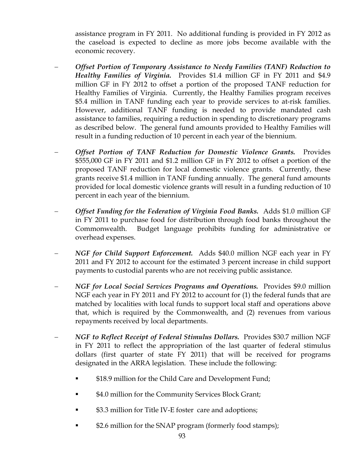assistance program in FY 2011. No additional funding is provided in FY 2012 as the caseload is expected to decline as more jobs become available with the economic recovery.

- − *Offset Portion of Temporary Assistance to Needy Families (TANF) Reduction to Healthy Families of Virginia.* Provides \$1.4 million GF in FY 2011 and \$4.9 million GF in FY 2012 to offset a portion of the proposed TANF reduction for Healthy Families of Virginia. Currently, the Healthy Families program receives \$5.4 million in TANF funding each year to provide services to at-risk families. However, additional TANF funding is needed to provide mandated cash assistance to families, requiring a reduction in spending to discretionary programs as described below. The general fund amounts provided to Healthy Families will result in a funding reduction of 10 percent in each year of the biennium.
- − *Offset Portion of TANF Reduction for Domestic Violence Grants.* Provides \$555,000 GF in FY 2011 and \$1.2 million GF in FY 2012 to offset a portion of the proposed TANF reduction for local domestic violence grants. Currently, these grants receive \$1.4 million in TANF funding annually. The general fund amounts provided for local domestic violence grants will result in a funding reduction of 10 percent in each year of the biennium.
- − *Offset Funding for the Federation of Virginia Food Banks.* Adds \$1.0 million GF in FY 2011 to purchase food for distribution through food banks throughout the Commonwealth. Budget language prohibits funding for administrative or overhead expenses.
- − *NGF for Child Support Enforcement.* Adds \$40.0 million NGF each year in FY 2011 and FY 2012 to account for the estimated 3 percent increase in child support payments to custodial parents who are not receiving public assistance.
- − *NGF for Local Social Services Programs and Operations.* Provides \$9.0 million NGF each year in FY 2011 and FY 2012 to account for (1) the federal funds that are matched by localities with local funds to support local staff and operations above that, which is required by the Commonwealth, and (2) revenues from various repayments received by local departments.
- − *NGF to Reflect Receipt of Federal Stimulus Dollars.* Provides \$30.7 million NGF in FY 2011 to reflect the appropriation of the last quarter of federal stimulus dollars (first quarter of state FY 2011) that will be received for programs designated in the ARRA legislation. These include the following:
	- \$18.9 million for the Child Care and Development Fund;
	- \$4.0 million for the Community Services Block Grant;
	- \$3.3 million for Title IV-E foster care and adoptions;
	- \$2.6 million for the SNAP program (formerly food stamps);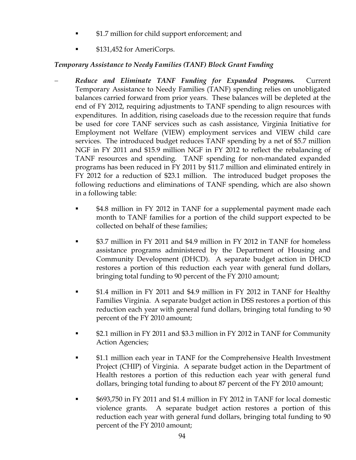- \$1.7 million for child support enforcement; and
- \$131,452 for AmeriCorps.

## *Temporary Assistance to Needy Families (TANF) Block Grant Funding*

- − *Reduce and Eliminate TANF Funding for Expanded Programs.* Current Temporary Assistance to Needy Families (TANF) spending relies on unobligated balances carried forward from prior years. These balances will be depleted at the end of FY 2012, requiring adjustments to TANF spending to align resources with expenditures. In addition, rising caseloads due to the recession require that funds be used for core TANF services such as cash assistance, Virginia Initiative for Employment not Welfare (VIEW) employment services and VIEW child care services. The introduced budget reduces TANF spending by a net of \$5.7 million NGF in FY 2011 and \$15.9 million NGF in FY 2012 to reflect the rebalancing of TANF resources and spending. TANF spending for non-mandated expanded programs has been reduced in FY 2011 by \$11.7 million and eliminated entirely in FY 2012 for a reduction of \$23.1 million. The introduced budget proposes the following reductions and eliminations of TANF spending, which are also shown in a following table:
	- \$4.8 million in FY 2012 in TANF for a supplemental payment made each month to TANF families for a portion of the child support expected to be collected on behalf of these families;
	- \$3.7 million in FY 2011 and \$4.9 million in FY 2012 in TANF for homeless assistance programs administered by the Department of Housing and Community Development (DHCD). A separate budget action in DHCD restores a portion of this reduction each year with general fund dollars, bringing total funding to 90 percent of the FY 2010 amount;
	- \$1.4 million in FY 2011 and \$4.9 million in FY 2012 in TANF for Healthy Families Virginia. A separate budget action in DSS restores a portion of this reduction each year with general fund dollars, bringing total funding to 90 percent of the FY 2010 amount;
	- \$2.1 million in FY 2011 and \$3.3 million in FY 2012 in TANF for Community Action Agencies;
	- \$1.1 million each year in TANF for the Comprehensive Health Investment Project (CHIP) of Virginia. A separate budget action in the Department of Health restores a portion of this reduction each year with general fund dollars, bringing total funding to about 87 percent of the FY 2010 amount;
	- \$693,750 in FY 2011 and \$1.4 million in FY 2012 in TANF for local domestic violence grants. A separate budget action restores a portion of this reduction each year with general fund dollars, bringing total funding to 90 percent of the FY 2010 amount;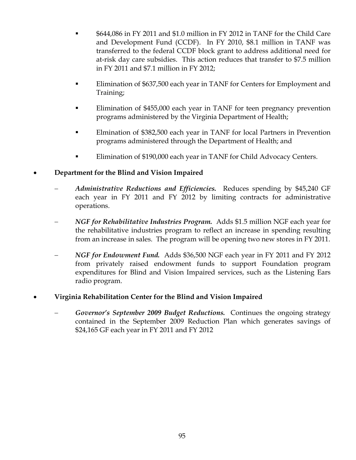- \$644,086 in FY 2011 and \$1.0 million in FY 2012 in TANF for the Child Care and Development Fund (CCDF). In FY 2010, \$8.1 million in TANF was transferred to the federal CCDF block grant to address additional need for at-risk day care subsidies. This action reduces that transfer to \$7.5 million in FY 2011 and \$7.1 million in FY 2012;
- Elimination of \$637,500 each year in TANF for Centers for Employment and Training;
- Elimination of \$455,000 each year in TANF for teen pregnancy prevention programs administered by the Virginia Department of Health;
- Elmination of \$382,500 each year in TANF for local Partners in Prevention programs administered through the Department of Health; and
- Elimination of \$190,000 each year in TANF for Child Advocacy Centers.

# • **Department for the Blind and Vision Impaired**

- − *Administrative Reductions and Efficiencies.* Reduces spending by \$45,240 GF each year in FY 2011 and FY 2012 by limiting contracts for administrative operations.
- − *NGF for Rehabilitative Industries Program.* Adds \$1.5 million NGF each year for the rehabilitative industries program to reflect an increase in spending resulting from an increase in sales. The program will be opening two new stores in FY 2011.
- − *NGF for Endowment Fund.* Adds \$36,500 NGF each year in FY 2011 and FY 2012 from privately raised endowment funds to support Foundation program expenditures for Blind and Vision Impaired services, such as the Listening Ears radio program.

# • **Virginia Rehabilitation Center for the Blind and Vision Impaired**

Governor's September 2009 Budget Reductions. Continues the ongoing strategy contained in the September 2009 Reduction Plan which generates savings of \$24,165 GF each year in FY 2011 and FY 2012